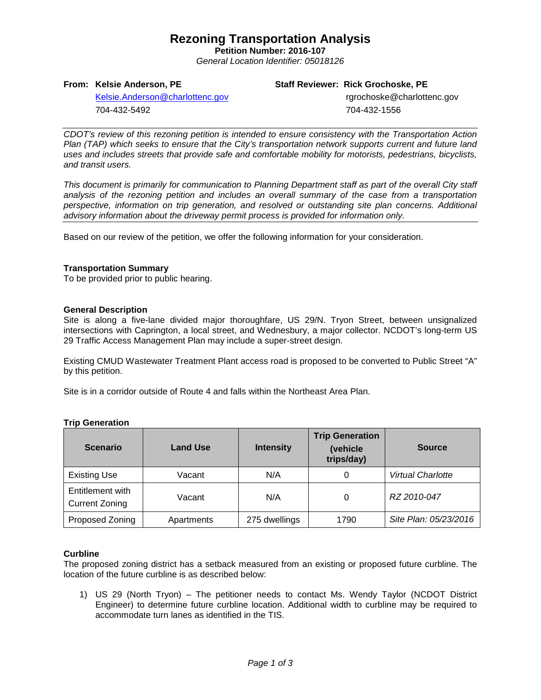## **Rezoning Transportation Analysis**

**Petition Number: 2016-107** *General Location Identifier: 05018126*

### **From: Kelsie Anderson, PE**

### **Staff Reviewer: Rick Grochoske, PE**

[Kelsie.Anderson@charlottenc.gov](mailto:Kelsie.Anderson@charlottenc.gov) 704-432-5492

 rgrochoske@charlottenc.gov 704-432-1556

*CDOT's review of this rezoning petition is intended to ensure consistency with the Transportation Action Plan (TAP) which seeks to ensure that the City's transportation network supports current and future land uses and includes streets that provide safe and comfortable mobility for motorists, pedestrians, bicyclists, and transit users.*

*This document is primarily for communication to Planning Department staff as part of the overall City staff analysis of the rezoning petition and includes an overall summary of the case from a transportation perspective, information on trip generation, and resolved or outstanding site plan concerns. Additional advisory information about the driveway permit process is provided for information only.*

Based on our review of the petition, we offer the following information for your consideration.

#### **Transportation Summary**

To be provided prior to public hearing.

#### **General Description**

Site is along a five-lane divided major thoroughfare, US 29/N. Tryon Street, between unsignalized intersections with Caprington, a local street, and Wednesbury, a major collector. NCDOT's long-term US 29 Traffic Access Management Plan may include a super-street design.

Existing CMUD Wastewater Treatment Plant access road is proposed to be converted to Public Street "A" by this petition.

Site is in a corridor outside of Route 4 and falls within the Northeast Area Plan.

### **Trip Generation**

| <b>Scenario</b>                           | <b>Land Use</b> | <b>Intensity</b> | <b>Trip Generation</b><br>(vehicle<br>trips/day) | <b>Source</b>         |
|-------------------------------------------|-----------------|------------------|--------------------------------------------------|-----------------------|
| <b>Existing Use</b>                       | Vacant          | N/A              | 0                                                | Virtual Charlotte     |
| Entitlement with<br><b>Current Zoning</b> | Vacant          | N/A              | 0                                                | RZ 2010-047           |
| Proposed Zoning                           | Apartments      | 275 dwellings    | 1790                                             | Site Plan: 05/23/2016 |

### **Curbline**

The proposed zoning district has a setback measured from an existing or proposed future curbline. The location of the future curbline is as described below:

1) US 29 (North Tryon) – The petitioner needs to contact Ms. Wendy Taylor (NCDOT District Engineer) to determine future curbline location. Additional width to curbline may be required to accommodate turn lanes as identified in the TIS.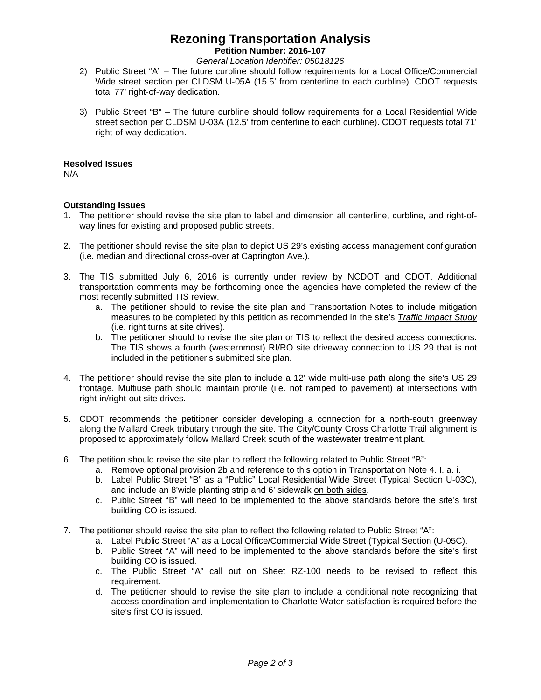# **Rezoning Transportation Analysis**

**Petition Number: 2016-107**

*General Location Identifier: 05018126*

- 2) Public Street "A" The future curbline should follow requirements for a Local Office/Commercial Wide street section per CLDSM U-05A (15.5' from centerline to each curbline). CDOT requests total 77' right-of-way dedication.
- 3) Public Street "B" The future curbline should follow requirements for a Local Residential Wide street section per CLDSM U-03A (12.5' from centerline to each curbline). CDOT requests total 71' right-of-way dedication.

### **Resolved Issues**

N/A

### **Outstanding Issues**

- 1. The petitioner should revise the site plan to label and dimension all centerline, curbline, and right-ofway lines for existing and proposed public streets.
- 2. The petitioner should revise the site plan to depict US 29's existing access management configuration (i.e. median and directional cross-over at Caprington Ave.).
- 3. The TIS submitted July 6, 2016 is currently under review by NCDOT and CDOT. Additional transportation comments may be forthcoming once the agencies have completed the review of the most recently submitted TIS review.
	- a. The petitioner should to revise the site plan and Transportation Notes to include mitigation measures to be completed by this petition as recommended in the site's *Traffic Impact Study* (i.e. right turns at site drives).
	- b. The petitioner should to revise the site plan or TIS to reflect the desired access connections. The TIS shows a fourth (westernmost) RI/RO site driveway connection to US 29 that is not included in the petitioner's submitted site plan.
- 4. The petitioner should revise the site plan to include a 12' wide multi-use path along the site's US 29 frontage. Multiuse path should maintain profile (i.e. not ramped to pavement) at intersections with right-in/right-out site drives.
- 5. CDOT recommends the petitioner consider developing a connection for a north-south greenway along the Mallard Creek tributary through the site. The City/County Cross Charlotte Trail alignment is proposed to approximately follow Mallard Creek south of the wastewater treatment plant.
- 6. The petition should revise the site plan to reflect the following related to Public Street "B":
	- a. Remove optional provision 2b and reference to this option in Transportation Note 4. I. a. i.
	- b. Label Public Street "B" as a "Public" Local Residential Wide Street (Typical Section U-03C), and include an 8'wide planting strip and 6' sidewalk on both sides.
	- c. Public Street "B" will need to be implemented to the above standards before the site's first building CO is issued.
- 7. The petitioner should revise the site plan to reflect the following related to Public Street "A":
	- a. Label Public Street "A" as a Local Office/Commercial Wide Street (Typical Section (U-05C).
	- b. Public Street "A" will need to be implemented to the above standards before the site's first building CO is issued.
	- c. The Public Street "A" call out on Sheet RZ-100 needs to be revised to reflect this requirement.
	- d. The petitioner should to revise the site plan to include a conditional note recognizing that access coordination and implementation to Charlotte Water satisfaction is required before the site's first CO is issued.